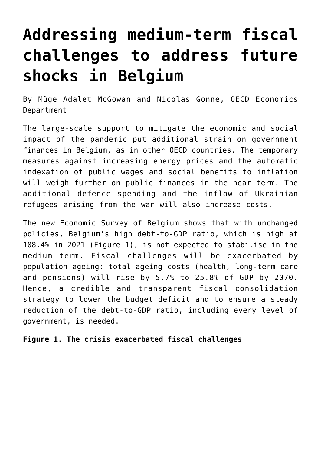## **[Addressing medium-term fiscal](https://oecdecoscope.blog/2022/06/14/addressing-medium-term-fiscal-challenges-to-address-future-shocks-in-belgium/) [challenges to address future](https://oecdecoscope.blog/2022/06/14/addressing-medium-term-fiscal-challenges-to-address-future-shocks-in-belgium/) [shocks in Belgium](https://oecdecoscope.blog/2022/06/14/addressing-medium-term-fiscal-challenges-to-address-future-shocks-in-belgium/)**

By Müge Adalet McGowan and Nicolas Gonne, OECD Economics Department

The large-scale support to mitigate the economic and social impact of the pandemic put additional strain on government finances in Belgium, as in other OECD countries. The temporary measures against increasing energy prices and the automatic indexation of public wages and social benefits to inflation will weigh further on public finances in the near term. The additional defence spending and the inflow of Ukrainian refugees arising from the war will also increase costs.

The new [Economic Survey of Belgium](https://www.oecd.org/economy/belgium-economic-snapshot/) shows that with unchanged policies, Belgium's high debt-to-GDP ratio, which is high at 108.4% in 2021 (Figure 1), is not expected to stabilise in the medium term. Fiscal challenges will be exacerbated by population ageing: total ageing costs (health, long-term care and pensions) will rise by 5.7% to 25.8% of GDP by 2070. Hence, a credible and transparent fiscal consolidation strategy to lower the budget deficit and to ensure a steady reduction of the debt-to-GDP ratio, including every level of government, is needed.

**Figure 1. The crisis exacerbated fiscal challenges**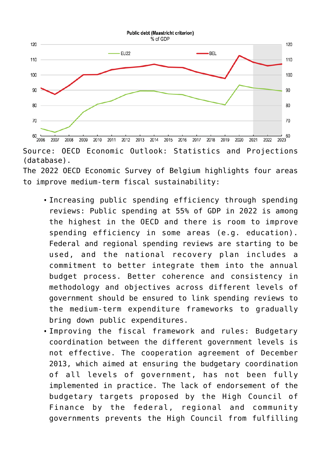

Source: OECD Economic Outlook: Statistics and Projections (database).

The 2022 OECD Economic Survey of Belgium highlights four areas to improve medium-term fiscal sustainability:

- Increasing public spending efficiency through spending reviews: Public spending at 55% of GDP in 2022 is among the highest in the OECD and there is room to improve spending efficiency in some areas (e.g. education). Federal and regional spending reviews are starting to be used, and the national recovery plan includes a commitment to better integrate them into the annual budget process. Better coherence and consistency in methodology and objectives across different levels of government should be ensured to link spending reviews to the medium-term expenditure frameworks to gradually bring down public expenditures.
- Improving the fiscal framework and rules: Budgetary coordination between the different government levels is not effective. The cooperation agreement of December 2013, which aimed at ensuring the budgetary coordination of all levels of government, has not been fully implemented in practice. The lack of endorsement of the budgetary targets proposed by the High Council of Finance by the federal, regional and community governments prevents the High Council from fulfilling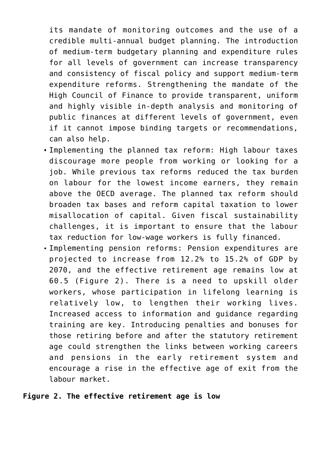its mandate of monitoring outcomes and the use of a credible multi-annual budget planning. The introduction of medium-term budgetary planning and expenditure rules for all levels of government can increase transparency and consistency of fiscal policy and support medium-term expenditure reforms. Strengthening the mandate of the High Council of Finance to provide transparent, uniform and highly visible in-depth analysis and monitoring of public finances at different levels of government, even if it cannot impose binding targets or recommendations, can also help.

- Implementing the planned tax reform: High labour taxes discourage more people from working or looking for a job. While previous tax reforms reduced the tax burden on labour for the lowest income earners, they remain above the OECD average. The planned tax reform should broaden tax bases and reform capital taxation to lower misallocation of capital. Given fiscal sustainability challenges, it is important to ensure that the labour tax reduction for low-wage workers is fully financed.
- Implementing pension reforms: Pension expenditures are projected to increase from 12.2% to 15.2% of GDP by 2070, and the effective retirement age remains low at 60.5 (Figure 2). There is a need to upskill older workers, whose participation in lifelong learning is relatively low, to lengthen their working lives. Increased access to information and guidance regarding training are key. Introducing penalties and bonuses for those retiring before and after the statutory retirement age could strengthen the links between working careers and pensions in the early retirement system and encourage a rise in the effective age of exit from the labour market.

## **Figure 2. The effective retirement age is low**